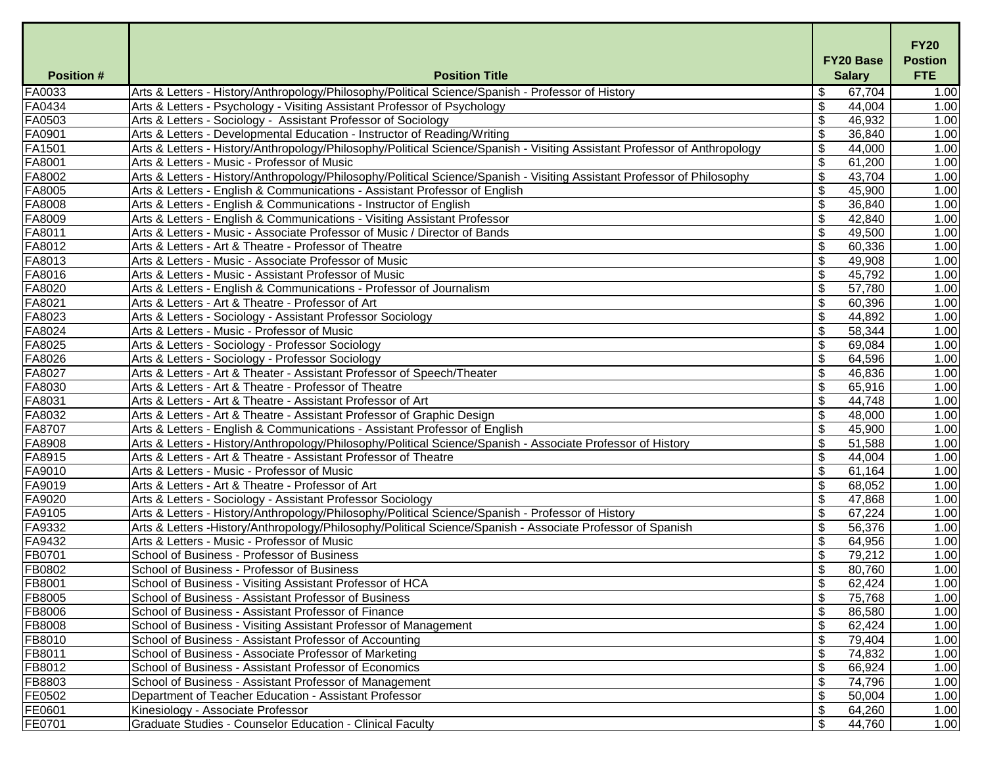| <b>Salary</b><br>Arts & Letters - History/Anthropology/Philosophy/Political Science/Spanish - Professor of History<br>\$<br>67,704<br>1.00<br>$\mathcal{L}$<br>Arts & Letters - Psychology - Visiting Assistant Professor of Psychology<br>44,004<br>1.00<br>$\boldsymbol{\mathsf{S}}$<br>1.00<br>Arts & Letters - Sociology - Assistant Professor of Sociology<br>46,932<br>$\boldsymbol{\theta}$<br>Arts & Letters - Developmental Education - Instructor of Reading/Writing<br>36,840<br>1.00<br>Arts & Letters - History/Anthropology/Philosophy/Political Science/Spanish - Visiting Assistant Professor of Anthropology<br>$\boldsymbol{\mathsf{\$}}$<br>44,000<br>1.00<br>$\boldsymbol{\mathsf{S}}$<br>Arts & Letters - Music - Professor of Music<br>61,200<br>1.00<br>\$<br>1.00<br>Arts & Letters - History/Anthropology/Philosophy/Political Science/Spanish - Visiting Assistant Professor of Philosophy<br>43,704<br>$\boldsymbol{\theta}$<br>FA8005<br>1.00<br>Arts & Letters - English & Communications - Assistant Professor of English<br>45,900<br>$\boldsymbol{\theta}$<br>Arts & Letters - English & Communications - Instructor of English<br>36,840<br>1.00<br>FA8009<br>$\mathfrak{S}$<br>42,840<br>1.00<br>Arts & Letters - English & Communications - Visiting Assistant Professor<br>FA8011<br>$\boldsymbol{\mathsf{S}}$<br>Arts & Letters - Music - Associate Professor of Music / Director of Bands<br>49,500<br>1.00<br>FA8012<br>\$<br>60,336<br>1.00<br>Arts & Letters - Art & Theatre - Professor of Theatre<br>FA8013<br>$\boldsymbol{\mathsf{\$}}$<br>1.00<br>Arts & Letters - Music - Associate Professor of Music<br>49,908<br>FA8016<br>\$<br>Arts & Letters - Music - Assistant Professor of Music<br>45,792<br>1.00<br>FA8020<br>$\boldsymbol{\mathsf{\$}}$<br>57,780<br>Arts & Letters - English & Communications - Professor of Journalism<br>1.00<br>FA8021<br>$\boldsymbol{\mathsf{\$}}$<br>60,396<br>1.00<br>Arts & Letters - Art & Theatre - Professor of Art<br>FA8023<br>\$<br>44,892<br>1.00<br>Arts & Letters - Sociology - Assistant Professor Sociology<br>FA8024<br>Arts & Letters - Music - Professor of Music<br>\$<br>58,344<br>1.00<br>FA8025<br>\$<br>Arts & Letters - Sociology - Professor Sociology<br>69,084<br>1.00<br>FA8026<br>\$<br>64,596<br>1.00<br>Arts & Letters - Sociology - Professor Sociology<br>FA8027<br>Arts & Letters - Art & Theater - Assistant Professor of Speech/Theater<br>$\boldsymbol{\mathsf{\$}}$<br>46,836<br>1.00<br>FA8030<br>$\boldsymbol{\mathsf{\$}}$<br>65,916<br>1.00<br>Arts & Letters - Art & Theatre - Professor of Theatre<br>FA8031<br>\$<br>Arts & Letters - Art & Theatre - Assistant Professor of Art<br>44,748<br>1.00<br>FA8032<br>$\boldsymbol{\mathsf{\$}}$<br>1.00<br>Arts & Letters - Art & Theatre - Assistant Professor of Graphic Design<br>48,000<br>FA8707<br>$\boldsymbol{\theta}$<br>Arts & Letters - English & Communications - Assistant Professor of English<br>45,900<br>FA8908<br>$\boldsymbol{\mathsf{S}}$<br>Arts & Letters - History/Anthropology/Philosophy/Political Science/Spanish - Associate Professor of History<br>51,588<br>FA8915<br>$\mathfrak{S}$<br>44,004<br>Arts & Letters - Art & Theatre - Assistant Professor of Theatre<br>FA9010<br>\$<br>Arts & Letters - Music - Professor of Music<br>61,164<br>1.00<br>FA9019<br>Arts & Letters - Art & Theatre - Professor of Art<br>\$<br>68,052<br>FA9020<br>\$<br>47,868<br>Arts & Letters - Sociology - Assistant Professor Sociology<br>1.00<br>FA9105<br>\$<br>67,224<br>Arts & Letters - History/Anthropology/Philosophy/Political Science/Spanish - Professor of History<br>1.00<br>FA9332<br>\$<br>56,376<br>1.00<br>Arts & Letters -History/Anthropology/Philosophy/Political Science/Spanish - Associate Professor of Spanish<br>FA9432<br>\$<br>64,956<br>Arts & Letters - Music - Professor of Music<br>FB0701<br>School of Business - Professor of Business<br>$\boldsymbol{\mathsf{S}}$<br>79,212<br>1.00<br>FB0802<br>$\boldsymbol{\mathsf{S}}$<br>80,760<br>1.00<br>School of Business - Professor of Business<br>FB8001<br>\$<br>1.00<br>School of Business - Visiting Assistant Professor of HCA<br>62,424<br>FB8005<br>School of Business - Assistant Professor of Business<br>\$<br>75,768<br>1.00<br>\$<br>FB8006<br>School of Business - Assistant Professor of Finance<br>86,580<br>1.00<br>FB8008<br>School of Business - Visiting Assistant Professor of Management<br>\$<br>62,424<br>FB8010<br>School of Business - Assistant Professor of Accounting<br>$\boldsymbol{\mathsf{S}}$<br>79,404<br>FB8011<br>74,832<br>1.00<br>School of Business - Associate Professor of Marketing<br>\$<br>FB8012<br>\$<br>66,924<br>1.00<br>School of Business - Assistant Professor of Economics<br>$\boldsymbol{\mathsf{\$}}$<br>FB8803<br>School of Business - Assistant Professor of Management<br>74,796<br>1.00<br>FE0502<br>\$<br>Department of Teacher Education - Assistant Professor<br>50,004<br>1.00<br>FE0601<br>Kinesiology - Associate Professor<br>\$<br>64,260<br>$\boldsymbol{\mathsf{S}}$<br>FE0701<br>44,760<br><b>Graduate Studies - Counselor Education - Clinical Faculty</b> |                  |                       | <b>FY20 Base</b> |  | <b>FY20</b><br><b>Postion</b> |
|---------------------------------------------------------------------------------------------------------------------------------------------------------------------------------------------------------------------------------------------------------------------------------------------------------------------------------------------------------------------------------------------------------------------------------------------------------------------------------------------------------------------------------------------------------------------------------------------------------------------------------------------------------------------------------------------------------------------------------------------------------------------------------------------------------------------------------------------------------------------------------------------------------------------------------------------------------------------------------------------------------------------------------------------------------------------------------------------------------------------------------------------------------------------------------------------------------------------------------------------------------------------------------------------------------------------------------------------------------------------------------------------------------------------------------------------------------------------------------------------------------------------------------------------------------------------------------------------------------------------------------------------------------------------------------------------------------------------------------------------------------------------------------------------------------------------------------------------------------------------------------------------------------------------------------------------------------------------------------------------------------------------------------------------------------------------------------------------------------------------------------------------------------------------------------------------------------------------------------------------------------------------------------------------------------------------------------------------------------------------------------------------------------------------------------------------------------------------------------------------------------------------------------------------------------------------------------------------------------------------------------------------------------------------------------------------------------------------------------------------------------------------------------------------------------------------------------------------------------------------------------------------------------------------------------------------------------------------------------------------------------------------------------------------------------------------------------------------------------------------------------------------------------------------------------------------------------------------------------------------------------------------------------------------------------------------------------------------------------------------------------------------------------------------------------------------------------------------------------------------------------------------------------------------------------------------------------------------------------------------------------------------------------------------------------------------------------------------------------------------------------------------------------------------------------------------------------------------------------------------------------------------------------------------------------------------------------------------------------------------------------------------------------------------------------------------------------------------------------------------------------------------------------------------------------------------------------------------------------------------------------------------------------------------------------------------------------------------------------------------------------------------------------------------------------------------------------------------------------------------------------------------------------------------------------------------------------------------------------------------------------------------------------------------------------------------------------------------------------------------------------------------------------------------------------------------------------------------------------------------------------------------------------------------------------------------------------------------------------------------------------------------------------------------------------------------------------------------------------------------------------------------------------------------------------------------------------|------------------|-----------------------|------------------|--|-------------------------------|
|                                                                                                                                                                                                                                                                                                                                                                                                                                                                                                                                                                                                                                                                                                                                                                                                                                                                                                                                                                                                                                                                                                                                                                                                                                                                                                                                                                                                                                                                                                                                                                                                                                                                                                                                                                                                                                                                                                                                                                                                                                                                                                                                                                                                                                                                                                                                                                                                                                                                                                                                                                                                                                                                                                                                                                                                                                                                                                                                                                                                                                                                                                                                                                                                                                                                                                                                                                                                                                                                                                                                                                                                                                                                                                                                                                                                                                                                                                                                                                                                                                                                                                                                                                                                                                                                                                                                                                                                                                                                                                                                                                                                                                                                                                                                                                                                                                                                                                                                                                                                                                                                                                                                                                                                         | <b>Position#</b> | <b>Position Title</b> |                  |  | <b>FTE</b>                    |
| 1.00<br>1.00<br>1.00<br>1.00<br>1.00<br>1.00<br>1.00<br>1.00<br>1.00                                                                                                                                                                                                                                                                                                                                                                                                                                                                                                                                                                                                                                                                                                                                                                                                                                                                                                                                                                                                                                                                                                                                                                                                                                                                                                                                                                                                                                                                                                                                                                                                                                                                                                                                                                                                                                                                                                                                                                                                                                                                                                                                                                                                                                                                                                                                                                                                                                                                                                                                                                                                                                                                                                                                                                                                                                                                                                                                                                                                                                                                                                                                                                                                                                                                                                                                                                                                                                                                                                                                                                                                                                                                                                                                                                                                                                                                                                                                                                                                                                                                                                                                                                                                                                                                                                                                                                                                                                                                                                                                                                                                                                                                                                                                                                                                                                                                                                                                                                                                                                                                                                                                    | <b>FA0033</b>    |                       |                  |  |                               |
|                                                                                                                                                                                                                                                                                                                                                                                                                                                                                                                                                                                                                                                                                                                                                                                                                                                                                                                                                                                                                                                                                                                                                                                                                                                                                                                                                                                                                                                                                                                                                                                                                                                                                                                                                                                                                                                                                                                                                                                                                                                                                                                                                                                                                                                                                                                                                                                                                                                                                                                                                                                                                                                                                                                                                                                                                                                                                                                                                                                                                                                                                                                                                                                                                                                                                                                                                                                                                                                                                                                                                                                                                                                                                                                                                                                                                                                                                                                                                                                                                                                                                                                                                                                                                                                                                                                                                                                                                                                                                                                                                                                                                                                                                                                                                                                                                                                                                                                                                                                                                                                                                                                                                                                                         | FA0434           |                       |                  |  |                               |
|                                                                                                                                                                                                                                                                                                                                                                                                                                                                                                                                                                                                                                                                                                                                                                                                                                                                                                                                                                                                                                                                                                                                                                                                                                                                                                                                                                                                                                                                                                                                                                                                                                                                                                                                                                                                                                                                                                                                                                                                                                                                                                                                                                                                                                                                                                                                                                                                                                                                                                                                                                                                                                                                                                                                                                                                                                                                                                                                                                                                                                                                                                                                                                                                                                                                                                                                                                                                                                                                                                                                                                                                                                                                                                                                                                                                                                                                                                                                                                                                                                                                                                                                                                                                                                                                                                                                                                                                                                                                                                                                                                                                                                                                                                                                                                                                                                                                                                                                                                                                                                                                                                                                                                                                         | FA0503           |                       |                  |  |                               |
|                                                                                                                                                                                                                                                                                                                                                                                                                                                                                                                                                                                                                                                                                                                                                                                                                                                                                                                                                                                                                                                                                                                                                                                                                                                                                                                                                                                                                                                                                                                                                                                                                                                                                                                                                                                                                                                                                                                                                                                                                                                                                                                                                                                                                                                                                                                                                                                                                                                                                                                                                                                                                                                                                                                                                                                                                                                                                                                                                                                                                                                                                                                                                                                                                                                                                                                                                                                                                                                                                                                                                                                                                                                                                                                                                                                                                                                                                                                                                                                                                                                                                                                                                                                                                                                                                                                                                                                                                                                                                                                                                                                                                                                                                                                                                                                                                                                                                                                                                                                                                                                                                                                                                                                                         | FA0901           |                       |                  |  |                               |
|                                                                                                                                                                                                                                                                                                                                                                                                                                                                                                                                                                                                                                                                                                                                                                                                                                                                                                                                                                                                                                                                                                                                                                                                                                                                                                                                                                                                                                                                                                                                                                                                                                                                                                                                                                                                                                                                                                                                                                                                                                                                                                                                                                                                                                                                                                                                                                                                                                                                                                                                                                                                                                                                                                                                                                                                                                                                                                                                                                                                                                                                                                                                                                                                                                                                                                                                                                                                                                                                                                                                                                                                                                                                                                                                                                                                                                                                                                                                                                                                                                                                                                                                                                                                                                                                                                                                                                                                                                                                                                                                                                                                                                                                                                                                                                                                                                                                                                                                                                                                                                                                                                                                                                                                         | FA1501           |                       |                  |  |                               |
|                                                                                                                                                                                                                                                                                                                                                                                                                                                                                                                                                                                                                                                                                                                                                                                                                                                                                                                                                                                                                                                                                                                                                                                                                                                                                                                                                                                                                                                                                                                                                                                                                                                                                                                                                                                                                                                                                                                                                                                                                                                                                                                                                                                                                                                                                                                                                                                                                                                                                                                                                                                                                                                                                                                                                                                                                                                                                                                                                                                                                                                                                                                                                                                                                                                                                                                                                                                                                                                                                                                                                                                                                                                                                                                                                                                                                                                                                                                                                                                                                                                                                                                                                                                                                                                                                                                                                                                                                                                                                                                                                                                                                                                                                                                                                                                                                                                                                                                                                                                                                                                                                                                                                                                                         | FA8001           |                       |                  |  |                               |
|                                                                                                                                                                                                                                                                                                                                                                                                                                                                                                                                                                                                                                                                                                                                                                                                                                                                                                                                                                                                                                                                                                                                                                                                                                                                                                                                                                                                                                                                                                                                                                                                                                                                                                                                                                                                                                                                                                                                                                                                                                                                                                                                                                                                                                                                                                                                                                                                                                                                                                                                                                                                                                                                                                                                                                                                                                                                                                                                                                                                                                                                                                                                                                                                                                                                                                                                                                                                                                                                                                                                                                                                                                                                                                                                                                                                                                                                                                                                                                                                                                                                                                                                                                                                                                                                                                                                                                                                                                                                                                                                                                                                                                                                                                                                                                                                                                                                                                                                                                                                                                                                                                                                                                                                         | FA8002           |                       |                  |  |                               |
|                                                                                                                                                                                                                                                                                                                                                                                                                                                                                                                                                                                                                                                                                                                                                                                                                                                                                                                                                                                                                                                                                                                                                                                                                                                                                                                                                                                                                                                                                                                                                                                                                                                                                                                                                                                                                                                                                                                                                                                                                                                                                                                                                                                                                                                                                                                                                                                                                                                                                                                                                                                                                                                                                                                                                                                                                                                                                                                                                                                                                                                                                                                                                                                                                                                                                                                                                                                                                                                                                                                                                                                                                                                                                                                                                                                                                                                                                                                                                                                                                                                                                                                                                                                                                                                                                                                                                                                                                                                                                                                                                                                                                                                                                                                                                                                                                                                                                                                                                                                                                                                                                                                                                                                                         |                  |                       |                  |  |                               |
|                                                                                                                                                                                                                                                                                                                                                                                                                                                                                                                                                                                                                                                                                                                                                                                                                                                                                                                                                                                                                                                                                                                                                                                                                                                                                                                                                                                                                                                                                                                                                                                                                                                                                                                                                                                                                                                                                                                                                                                                                                                                                                                                                                                                                                                                                                                                                                                                                                                                                                                                                                                                                                                                                                                                                                                                                                                                                                                                                                                                                                                                                                                                                                                                                                                                                                                                                                                                                                                                                                                                                                                                                                                                                                                                                                                                                                                                                                                                                                                                                                                                                                                                                                                                                                                                                                                                                                                                                                                                                                                                                                                                                                                                                                                                                                                                                                                                                                                                                                                                                                                                                                                                                                                                         | FA8008           |                       |                  |  |                               |
|                                                                                                                                                                                                                                                                                                                                                                                                                                                                                                                                                                                                                                                                                                                                                                                                                                                                                                                                                                                                                                                                                                                                                                                                                                                                                                                                                                                                                                                                                                                                                                                                                                                                                                                                                                                                                                                                                                                                                                                                                                                                                                                                                                                                                                                                                                                                                                                                                                                                                                                                                                                                                                                                                                                                                                                                                                                                                                                                                                                                                                                                                                                                                                                                                                                                                                                                                                                                                                                                                                                                                                                                                                                                                                                                                                                                                                                                                                                                                                                                                                                                                                                                                                                                                                                                                                                                                                                                                                                                                                                                                                                                                                                                                                                                                                                                                                                                                                                                                                                                                                                                                                                                                                                                         |                  |                       |                  |  |                               |
|                                                                                                                                                                                                                                                                                                                                                                                                                                                                                                                                                                                                                                                                                                                                                                                                                                                                                                                                                                                                                                                                                                                                                                                                                                                                                                                                                                                                                                                                                                                                                                                                                                                                                                                                                                                                                                                                                                                                                                                                                                                                                                                                                                                                                                                                                                                                                                                                                                                                                                                                                                                                                                                                                                                                                                                                                                                                                                                                                                                                                                                                                                                                                                                                                                                                                                                                                                                                                                                                                                                                                                                                                                                                                                                                                                                                                                                                                                                                                                                                                                                                                                                                                                                                                                                                                                                                                                                                                                                                                                                                                                                                                                                                                                                                                                                                                                                                                                                                                                                                                                                                                                                                                                                                         |                  |                       |                  |  |                               |
|                                                                                                                                                                                                                                                                                                                                                                                                                                                                                                                                                                                                                                                                                                                                                                                                                                                                                                                                                                                                                                                                                                                                                                                                                                                                                                                                                                                                                                                                                                                                                                                                                                                                                                                                                                                                                                                                                                                                                                                                                                                                                                                                                                                                                                                                                                                                                                                                                                                                                                                                                                                                                                                                                                                                                                                                                                                                                                                                                                                                                                                                                                                                                                                                                                                                                                                                                                                                                                                                                                                                                                                                                                                                                                                                                                                                                                                                                                                                                                                                                                                                                                                                                                                                                                                                                                                                                                                                                                                                                                                                                                                                                                                                                                                                                                                                                                                                                                                                                                                                                                                                                                                                                                                                         |                  |                       |                  |  |                               |
|                                                                                                                                                                                                                                                                                                                                                                                                                                                                                                                                                                                                                                                                                                                                                                                                                                                                                                                                                                                                                                                                                                                                                                                                                                                                                                                                                                                                                                                                                                                                                                                                                                                                                                                                                                                                                                                                                                                                                                                                                                                                                                                                                                                                                                                                                                                                                                                                                                                                                                                                                                                                                                                                                                                                                                                                                                                                                                                                                                                                                                                                                                                                                                                                                                                                                                                                                                                                                                                                                                                                                                                                                                                                                                                                                                                                                                                                                                                                                                                                                                                                                                                                                                                                                                                                                                                                                                                                                                                                                                                                                                                                                                                                                                                                                                                                                                                                                                                                                                                                                                                                                                                                                                                                         |                  |                       |                  |  |                               |
|                                                                                                                                                                                                                                                                                                                                                                                                                                                                                                                                                                                                                                                                                                                                                                                                                                                                                                                                                                                                                                                                                                                                                                                                                                                                                                                                                                                                                                                                                                                                                                                                                                                                                                                                                                                                                                                                                                                                                                                                                                                                                                                                                                                                                                                                                                                                                                                                                                                                                                                                                                                                                                                                                                                                                                                                                                                                                                                                                                                                                                                                                                                                                                                                                                                                                                                                                                                                                                                                                                                                                                                                                                                                                                                                                                                                                                                                                                                                                                                                                                                                                                                                                                                                                                                                                                                                                                                                                                                                                                                                                                                                                                                                                                                                                                                                                                                                                                                                                                                                                                                                                                                                                                                                         |                  |                       |                  |  |                               |
|                                                                                                                                                                                                                                                                                                                                                                                                                                                                                                                                                                                                                                                                                                                                                                                                                                                                                                                                                                                                                                                                                                                                                                                                                                                                                                                                                                                                                                                                                                                                                                                                                                                                                                                                                                                                                                                                                                                                                                                                                                                                                                                                                                                                                                                                                                                                                                                                                                                                                                                                                                                                                                                                                                                                                                                                                                                                                                                                                                                                                                                                                                                                                                                                                                                                                                                                                                                                                                                                                                                                                                                                                                                                                                                                                                                                                                                                                                                                                                                                                                                                                                                                                                                                                                                                                                                                                                                                                                                                                                                                                                                                                                                                                                                                                                                                                                                                                                                                                                                                                                                                                                                                                                                                         |                  |                       |                  |  |                               |
|                                                                                                                                                                                                                                                                                                                                                                                                                                                                                                                                                                                                                                                                                                                                                                                                                                                                                                                                                                                                                                                                                                                                                                                                                                                                                                                                                                                                                                                                                                                                                                                                                                                                                                                                                                                                                                                                                                                                                                                                                                                                                                                                                                                                                                                                                                                                                                                                                                                                                                                                                                                                                                                                                                                                                                                                                                                                                                                                                                                                                                                                                                                                                                                                                                                                                                                                                                                                                                                                                                                                                                                                                                                                                                                                                                                                                                                                                                                                                                                                                                                                                                                                                                                                                                                                                                                                                                                                                                                                                                                                                                                                                                                                                                                                                                                                                                                                                                                                                                                                                                                                                                                                                                                                         |                  |                       |                  |  |                               |
|                                                                                                                                                                                                                                                                                                                                                                                                                                                                                                                                                                                                                                                                                                                                                                                                                                                                                                                                                                                                                                                                                                                                                                                                                                                                                                                                                                                                                                                                                                                                                                                                                                                                                                                                                                                                                                                                                                                                                                                                                                                                                                                                                                                                                                                                                                                                                                                                                                                                                                                                                                                                                                                                                                                                                                                                                                                                                                                                                                                                                                                                                                                                                                                                                                                                                                                                                                                                                                                                                                                                                                                                                                                                                                                                                                                                                                                                                                                                                                                                                                                                                                                                                                                                                                                                                                                                                                                                                                                                                                                                                                                                                                                                                                                                                                                                                                                                                                                                                                                                                                                                                                                                                                                                         |                  |                       |                  |  |                               |
|                                                                                                                                                                                                                                                                                                                                                                                                                                                                                                                                                                                                                                                                                                                                                                                                                                                                                                                                                                                                                                                                                                                                                                                                                                                                                                                                                                                                                                                                                                                                                                                                                                                                                                                                                                                                                                                                                                                                                                                                                                                                                                                                                                                                                                                                                                                                                                                                                                                                                                                                                                                                                                                                                                                                                                                                                                                                                                                                                                                                                                                                                                                                                                                                                                                                                                                                                                                                                                                                                                                                                                                                                                                                                                                                                                                                                                                                                                                                                                                                                                                                                                                                                                                                                                                                                                                                                                                                                                                                                                                                                                                                                                                                                                                                                                                                                                                                                                                                                                                                                                                                                                                                                                                                         |                  |                       |                  |  |                               |
|                                                                                                                                                                                                                                                                                                                                                                                                                                                                                                                                                                                                                                                                                                                                                                                                                                                                                                                                                                                                                                                                                                                                                                                                                                                                                                                                                                                                                                                                                                                                                                                                                                                                                                                                                                                                                                                                                                                                                                                                                                                                                                                                                                                                                                                                                                                                                                                                                                                                                                                                                                                                                                                                                                                                                                                                                                                                                                                                                                                                                                                                                                                                                                                                                                                                                                                                                                                                                                                                                                                                                                                                                                                                                                                                                                                                                                                                                                                                                                                                                                                                                                                                                                                                                                                                                                                                                                                                                                                                                                                                                                                                                                                                                                                                                                                                                                                                                                                                                                                                                                                                                                                                                                                                         |                  |                       |                  |  |                               |
|                                                                                                                                                                                                                                                                                                                                                                                                                                                                                                                                                                                                                                                                                                                                                                                                                                                                                                                                                                                                                                                                                                                                                                                                                                                                                                                                                                                                                                                                                                                                                                                                                                                                                                                                                                                                                                                                                                                                                                                                                                                                                                                                                                                                                                                                                                                                                                                                                                                                                                                                                                                                                                                                                                                                                                                                                                                                                                                                                                                                                                                                                                                                                                                                                                                                                                                                                                                                                                                                                                                                                                                                                                                                                                                                                                                                                                                                                                                                                                                                                                                                                                                                                                                                                                                                                                                                                                                                                                                                                                                                                                                                                                                                                                                                                                                                                                                                                                                                                                                                                                                                                                                                                                                                         |                  |                       |                  |  |                               |
|                                                                                                                                                                                                                                                                                                                                                                                                                                                                                                                                                                                                                                                                                                                                                                                                                                                                                                                                                                                                                                                                                                                                                                                                                                                                                                                                                                                                                                                                                                                                                                                                                                                                                                                                                                                                                                                                                                                                                                                                                                                                                                                                                                                                                                                                                                                                                                                                                                                                                                                                                                                                                                                                                                                                                                                                                                                                                                                                                                                                                                                                                                                                                                                                                                                                                                                                                                                                                                                                                                                                                                                                                                                                                                                                                                                                                                                                                                                                                                                                                                                                                                                                                                                                                                                                                                                                                                                                                                                                                                                                                                                                                                                                                                                                                                                                                                                                                                                                                                                                                                                                                                                                                                                                         |                  |                       |                  |  |                               |
|                                                                                                                                                                                                                                                                                                                                                                                                                                                                                                                                                                                                                                                                                                                                                                                                                                                                                                                                                                                                                                                                                                                                                                                                                                                                                                                                                                                                                                                                                                                                                                                                                                                                                                                                                                                                                                                                                                                                                                                                                                                                                                                                                                                                                                                                                                                                                                                                                                                                                                                                                                                                                                                                                                                                                                                                                                                                                                                                                                                                                                                                                                                                                                                                                                                                                                                                                                                                                                                                                                                                                                                                                                                                                                                                                                                                                                                                                                                                                                                                                                                                                                                                                                                                                                                                                                                                                                                                                                                                                                                                                                                                                                                                                                                                                                                                                                                                                                                                                                                                                                                                                                                                                                                                         |                  |                       |                  |  |                               |
|                                                                                                                                                                                                                                                                                                                                                                                                                                                                                                                                                                                                                                                                                                                                                                                                                                                                                                                                                                                                                                                                                                                                                                                                                                                                                                                                                                                                                                                                                                                                                                                                                                                                                                                                                                                                                                                                                                                                                                                                                                                                                                                                                                                                                                                                                                                                                                                                                                                                                                                                                                                                                                                                                                                                                                                                                                                                                                                                                                                                                                                                                                                                                                                                                                                                                                                                                                                                                                                                                                                                                                                                                                                                                                                                                                                                                                                                                                                                                                                                                                                                                                                                                                                                                                                                                                                                                                                                                                                                                                                                                                                                                                                                                                                                                                                                                                                                                                                                                                                                                                                                                                                                                                                                         |                  |                       |                  |  |                               |
|                                                                                                                                                                                                                                                                                                                                                                                                                                                                                                                                                                                                                                                                                                                                                                                                                                                                                                                                                                                                                                                                                                                                                                                                                                                                                                                                                                                                                                                                                                                                                                                                                                                                                                                                                                                                                                                                                                                                                                                                                                                                                                                                                                                                                                                                                                                                                                                                                                                                                                                                                                                                                                                                                                                                                                                                                                                                                                                                                                                                                                                                                                                                                                                                                                                                                                                                                                                                                                                                                                                                                                                                                                                                                                                                                                                                                                                                                                                                                                                                                                                                                                                                                                                                                                                                                                                                                                                                                                                                                                                                                                                                                                                                                                                                                                                                                                                                                                                                                                                                                                                                                                                                                                                                         |                  |                       |                  |  |                               |
|                                                                                                                                                                                                                                                                                                                                                                                                                                                                                                                                                                                                                                                                                                                                                                                                                                                                                                                                                                                                                                                                                                                                                                                                                                                                                                                                                                                                                                                                                                                                                                                                                                                                                                                                                                                                                                                                                                                                                                                                                                                                                                                                                                                                                                                                                                                                                                                                                                                                                                                                                                                                                                                                                                                                                                                                                                                                                                                                                                                                                                                                                                                                                                                                                                                                                                                                                                                                                                                                                                                                                                                                                                                                                                                                                                                                                                                                                                                                                                                                                                                                                                                                                                                                                                                                                                                                                                                                                                                                                                                                                                                                                                                                                                                                                                                                                                                                                                                                                                                                                                                                                                                                                                                                         |                  |                       |                  |  |                               |
|                                                                                                                                                                                                                                                                                                                                                                                                                                                                                                                                                                                                                                                                                                                                                                                                                                                                                                                                                                                                                                                                                                                                                                                                                                                                                                                                                                                                                                                                                                                                                                                                                                                                                                                                                                                                                                                                                                                                                                                                                                                                                                                                                                                                                                                                                                                                                                                                                                                                                                                                                                                                                                                                                                                                                                                                                                                                                                                                                                                                                                                                                                                                                                                                                                                                                                                                                                                                                                                                                                                                                                                                                                                                                                                                                                                                                                                                                                                                                                                                                                                                                                                                                                                                                                                                                                                                                                                                                                                                                                                                                                                                                                                                                                                                                                                                                                                                                                                                                                                                                                                                                                                                                                                                         |                  |                       |                  |  |                               |
|                                                                                                                                                                                                                                                                                                                                                                                                                                                                                                                                                                                                                                                                                                                                                                                                                                                                                                                                                                                                                                                                                                                                                                                                                                                                                                                                                                                                                                                                                                                                                                                                                                                                                                                                                                                                                                                                                                                                                                                                                                                                                                                                                                                                                                                                                                                                                                                                                                                                                                                                                                                                                                                                                                                                                                                                                                                                                                                                                                                                                                                                                                                                                                                                                                                                                                                                                                                                                                                                                                                                                                                                                                                                                                                                                                                                                                                                                                                                                                                                                                                                                                                                                                                                                                                                                                                                                                                                                                                                                                                                                                                                                                                                                                                                                                                                                                                                                                                                                                                                                                                                                                                                                                                                         |                  |                       |                  |  |                               |
|                                                                                                                                                                                                                                                                                                                                                                                                                                                                                                                                                                                                                                                                                                                                                                                                                                                                                                                                                                                                                                                                                                                                                                                                                                                                                                                                                                                                                                                                                                                                                                                                                                                                                                                                                                                                                                                                                                                                                                                                                                                                                                                                                                                                                                                                                                                                                                                                                                                                                                                                                                                                                                                                                                                                                                                                                                                                                                                                                                                                                                                                                                                                                                                                                                                                                                                                                                                                                                                                                                                                                                                                                                                                                                                                                                                                                                                                                                                                                                                                                                                                                                                                                                                                                                                                                                                                                                                                                                                                                                                                                                                                                                                                                                                                                                                                                                                                                                                                                                                                                                                                                                                                                                                                         |                  |                       |                  |  |                               |
|                                                                                                                                                                                                                                                                                                                                                                                                                                                                                                                                                                                                                                                                                                                                                                                                                                                                                                                                                                                                                                                                                                                                                                                                                                                                                                                                                                                                                                                                                                                                                                                                                                                                                                                                                                                                                                                                                                                                                                                                                                                                                                                                                                                                                                                                                                                                                                                                                                                                                                                                                                                                                                                                                                                                                                                                                                                                                                                                                                                                                                                                                                                                                                                                                                                                                                                                                                                                                                                                                                                                                                                                                                                                                                                                                                                                                                                                                                                                                                                                                                                                                                                                                                                                                                                                                                                                                                                                                                                                                                                                                                                                                                                                                                                                                                                                                                                                                                                                                                                                                                                                                                                                                                                                         |                  |                       |                  |  |                               |
|                                                                                                                                                                                                                                                                                                                                                                                                                                                                                                                                                                                                                                                                                                                                                                                                                                                                                                                                                                                                                                                                                                                                                                                                                                                                                                                                                                                                                                                                                                                                                                                                                                                                                                                                                                                                                                                                                                                                                                                                                                                                                                                                                                                                                                                                                                                                                                                                                                                                                                                                                                                                                                                                                                                                                                                                                                                                                                                                                                                                                                                                                                                                                                                                                                                                                                                                                                                                                                                                                                                                                                                                                                                                                                                                                                                                                                                                                                                                                                                                                                                                                                                                                                                                                                                                                                                                                                                                                                                                                                                                                                                                                                                                                                                                                                                                                                                                                                                                                                                                                                                                                                                                                                                                         |                  |                       |                  |  |                               |
|                                                                                                                                                                                                                                                                                                                                                                                                                                                                                                                                                                                                                                                                                                                                                                                                                                                                                                                                                                                                                                                                                                                                                                                                                                                                                                                                                                                                                                                                                                                                                                                                                                                                                                                                                                                                                                                                                                                                                                                                                                                                                                                                                                                                                                                                                                                                                                                                                                                                                                                                                                                                                                                                                                                                                                                                                                                                                                                                                                                                                                                                                                                                                                                                                                                                                                                                                                                                                                                                                                                                                                                                                                                                                                                                                                                                                                                                                                                                                                                                                                                                                                                                                                                                                                                                                                                                                                                                                                                                                                                                                                                                                                                                                                                                                                                                                                                                                                                                                                                                                                                                                                                                                                                                         |                  |                       |                  |  |                               |
|                                                                                                                                                                                                                                                                                                                                                                                                                                                                                                                                                                                                                                                                                                                                                                                                                                                                                                                                                                                                                                                                                                                                                                                                                                                                                                                                                                                                                                                                                                                                                                                                                                                                                                                                                                                                                                                                                                                                                                                                                                                                                                                                                                                                                                                                                                                                                                                                                                                                                                                                                                                                                                                                                                                                                                                                                                                                                                                                                                                                                                                                                                                                                                                                                                                                                                                                                                                                                                                                                                                                                                                                                                                                                                                                                                                                                                                                                                                                                                                                                                                                                                                                                                                                                                                                                                                                                                                                                                                                                                                                                                                                                                                                                                                                                                                                                                                                                                                                                                                                                                                                                                                                                                                                         |                  |                       |                  |  |                               |
|                                                                                                                                                                                                                                                                                                                                                                                                                                                                                                                                                                                                                                                                                                                                                                                                                                                                                                                                                                                                                                                                                                                                                                                                                                                                                                                                                                                                                                                                                                                                                                                                                                                                                                                                                                                                                                                                                                                                                                                                                                                                                                                                                                                                                                                                                                                                                                                                                                                                                                                                                                                                                                                                                                                                                                                                                                                                                                                                                                                                                                                                                                                                                                                                                                                                                                                                                                                                                                                                                                                                                                                                                                                                                                                                                                                                                                                                                                                                                                                                                                                                                                                                                                                                                                                                                                                                                                                                                                                                                                                                                                                                                                                                                                                                                                                                                                                                                                                                                                                                                                                                                                                                                                                                         |                  |                       |                  |  |                               |
|                                                                                                                                                                                                                                                                                                                                                                                                                                                                                                                                                                                                                                                                                                                                                                                                                                                                                                                                                                                                                                                                                                                                                                                                                                                                                                                                                                                                                                                                                                                                                                                                                                                                                                                                                                                                                                                                                                                                                                                                                                                                                                                                                                                                                                                                                                                                                                                                                                                                                                                                                                                                                                                                                                                                                                                                                                                                                                                                                                                                                                                                                                                                                                                                                                                                                                                                                                                                                                                                                                                                                                                                                                                                                                                                                                                                                                                                                                                                                                                                                                                                                                                                                                                                                                                                                                                                                                                                                                                                                                                                                                                                                                                                                                                                                                                                                                                                                                                                                                                                                                                                                                                                                                                                         |                  |                       |                  |  |                               |
|                                                                                                                                                                                                                                                                                                                                                                                                                                                                                                                                                                                                                                                                                                                                                                                                                                                                                                                                                                                                                                                                                                                                                                                                                                                                                                                                                                                                                                                                                                                                                                                                                                                                                                                                                                                                                                                                                                                                                                                                                                                                                                                                                                                                                                                                                                                                                                                                                                                                                                                                                                                                                                                                                                                                                                                                                                                                                                                                                                                                                                                                                                                                                                                                                                                                                                                                                                                                                                                                                                                                                                                                                                                                                                                                                                                                                                                                                                                                                                                                                                                                                                                                                                                                                                                                                                                                                                                                                                                                                                                                                                                                                                                                                                                                                                                                                                                                                                                                                                                                                                                                                                                                                                                                         |                  |                       |                  |  |                               |
|                                                                                                                                                                                                                                                                                                                                                                                                                                                                                                                                                                                                                                                                                                                                                                                                                                                                                                                                                                                                                                                                                                                                                                                                                                                                                                                                                                                                                                                                                                                                                                                                                                                                                                                                                                                                                                                                                                                                                                                                                                                                                                                                                                                                                                                                                                                                                                                                                                                                                                                                                                                                                                                                                                                                                                                                                                                                                                                                                                                                                                                                                                                                                                                                                                                                                                                                                                                                                                                                                                                                                                                                                                                                                                                                                                                                                                                                                                                                                                                                                                                                                                                                                                                                                                                                                                                                                                                                                                                                                                                                                                                                                                                                                                                                                                                                                                                                                                                                                                                                                                                                                                                                                                                                         |                  |                       |                  |  |                               |
|                                                                                                                                                                                                                                                                                                                                                                                                                                                                                                                                                                                                                                                                                                                                                                                                                                                                                                                                                                                                                                                                                                                                                                                                                                                                                                                                                                                                                                                                                                                                                                                                                                                                                                                                                                                                                                                                                                                                                                                                                                                                                                                                                                                                                                                                                                                                                                                                                                                                                                                                                                                                                                                                                                                                                                                                                                                                                                                                                                                                                                                                                                                                                                                                                                                                                                                                                                                                                                                                                                                                                                                                                                                                                                                                                                                                                                                                                                                                                                                                                                                                                                                                                                                                                                                                                                                                                                                                                                                                                                                                                                                                                                                                                                                                                                                                                                                                                                                                                                                                                                                                                                                                                                                                         |                  |                       |                  |  |                               |
|                                                                                                                                                                                                                                                                                                                                                                                                                                                                                                                                                                                                                                                                                                                                                                                                                                                                                                                                                                                                                                                                                                                                                                                                                                                                                                                                                                                                                                                                                                                                                                                                                                                                                                                                                                                                                                                                                                                                                                                                                                                                                                                                                                                                                                                                                                                                                                                                                                                                                                                                                                                                                                                                                                                                                                                                                                                                                                                                                                                                                                                                                                                                                                                                                                                                                                                                                                                                                                                                                                                                                                                                                                                                                                                                                                                                                                                                                                                                                                                                                                                                                                                                                                                                                                                                                                                                                                                                                                                                                                                                                                                                                                                                                                                                                                                                                                                                                                                                                                                                                                                                                                                                                                                                         |                  |                       |                  |  |                               |
|                                                                                                                                                                                                                                                                                                                                                                                                                                                                                                                                                                                                                                                                                                                                                                                                                                                                                                                                                                                                                                                                                                                                                                                                                                                                                                                                                                                                                                                                                                                                                                                                                                                                                                                                                                                                                                                                                                                                                                                                                                                                                                                                                                                                                                                                                                                                                                                                                                                                                                                                                                                                                                                                                                                                                                                                                                                                                                                                                                                                                                                                                                                                                                                                                                                                                                                                                                                                                                                                                                                                                                                                                                                                                                                                                                                                                                                                                                                                                                                                                                                                                                                                                                                                                                                                                                                                                                                                                                                                                                                                                                                                                                                                                                                                                                                                                                                                                                                                                                                                                                                                                                                                                                                                         |                  |                       |                  |  |                               |
|                                                                                                                                                                                                                                                                                                                                                                                                                                                                                                                                                                                                                                                                                                                                                                                                                                                                                                                                                                                                                                                                                                                                                                                                                                                                                                                                                                                                                                                                                                                                                                                                                                                                                                                                                                                                                                                                                                                                                                                                                                                                                                                                                                                                                                                                                                                                                                                                                                                                                                                                                                                                                                                                                                                                                                                                                                                                                                                                                                                                                                                                                                                                                                                                                                                                                                                                                                                                                                                                                                                                                                                                                                                                                                                                                                                                                                                                                                                                                                                                                                                                                                                                                                                                                                                                                                                                                                                                                                                                                                                                                                                                                                                                                                                                                                                                                                                                                                                                                                                                                                                                                                                                                                                                         |                  |                       |                  |  |                               |
|                                                                                                                                                                                                                                                                                                                                                                                                                                                                                                                                                                                                                                                                                                                                                                                                                                                                                                                                                                                                                                                                                                                                                                                                                                                                                                                                                                                                                                                                                                                                                                                                                                                                                                                                                                                                                                                                                                                                                                                                                                                                                                                                                                                                                                                                                                                                                                                                                                                                                                                                                                                                                                                                                                                                                                                                                                                                                                                                                                                                                                                                                                                                                                                                                                                                                                                                                                                                                                                                                                                                                                                                                                                                                                                                                                                                                                                                                                                                                                                                                                                                                                                                                                                                                                                                                                                                                                                                                                                                                                                                                                                                                                                                                                                                                                                                                                                                                                                                                                                                                                                                                                                                                                                                         |                  |                       |                  |  |                               |
|                                                                                                                                                                                                                                                                                                                                                                                                                                                                                                                                                                                                                                                                                                                                                                                                                                                                                                                                                                                                                                                                                                                                                                                                                                                                                                                                                                                                                                                                                                                                                                                                                                                                                                                                                                                                                                                                                                                                                                                                                                                                                                                                                                                                                                                                                                                                                                                                                                                                                                                                                                                                                                                                                                                                                                                                                                                                                                                                                                                                                                                                                                                                                                                                                                                                                                                                                                                                                                                                                                                                                                                                                                                                                                                                                                                                                                                                                                                                                                                                                                                                                                                                                                                                                                                                                                                                                                                                                                                                                                                                                                                                                                                                                                                                                                                                                                                                                                                                                                                                                                                                                                                                                                                                         |                  |                       |                  |  |                               |
|                                                                                                                                                                                                                                                                                                                                                                                                                                                                                                                                                                                                                                                                                                                                                                                                                                                                                                                                                                                                                                                                                                                                                                                                                                                                                                                                                                                                                                                                                                                                                                                                                                                                                                                                                                                                                                                                                                                                                                                                                                                                                                                                                                                                                                                                                                                                                                                                                                                                                                                                                                                                                                                                                                                                                                                                                                                                                                                                                                                                                                                                                                                                                                                                                                                                                                                                                                                                                                                                                                                                                                                                                                                                                                                                                                                                                                                                                                                                                                                                                                                                                                                                                                                                                                                                                                                                                                                                                                                                                                                                                                                                                                                                                                                                                                                                                                                                                                                                                                                                                                                                                                                                                                                                         |                  |                       |                  |  |                               |
|                                                                                                                                                                                                                                                                                                                                                                                                                                                                                                                                                                                                                                                                                                                                                                                                                                                                                                                                                                                                                                                                                                                                                                                                                                                                                                                                                                                                                                                                                                                                                                                                                                                                                                                                                                                                                                                                                                                                                                                                                                                                                                                                                                                                                                                                                                                                                                                                                                                                                                                                                                                                                                                                                                                                                                                                                                                                                                                                                                                                                                                                                                                                                                                                                                                                                                                                                                                                                                                                                                                                                                                                                                                                                                                                                                                                                                                                                                                                                                                                                                                                                                                                                                                                                                                                                                                                                                                                                                                                                                                                                                                                                                                                                                                                                                                                                                                                                                                                                                                                                                                                                                                                                                                                         |                  |                       |                  |  |                               |
|                                                                                                                                                                                                                                                                                                                                                                                                                                                                                                                                                                                                                                                                                                                                                                                                                                                                                                                                                                                                                                                                                                                                                                                                                                                                                                                                                                                                                                                                                                                                                                                                                                                                                                                                                                                                                                                                                                                                                                                                                                                                                                                                                                                                                                                                                                                                                                                                                                                                                                                                                                                                                                                                                                                                                                                                                                                                                                                                                                                                                                                                                                                                                                                                                                                                                                                                                                                                                                                                                                                                                                                                                                                                                                                                                                                                                                                                                                                                                                                                                                                                                                                                                                                                                                                                                                                                                                                                                                                                                                                                                                                                                                                                                                                                                                                                                                                                                                                                                                                                                                                                                                                                                                                                         |                  |                       |                  |  |                               |
|                                                                                                                                                                                                                                                                                                                                                                                                                                                                                                                                                                                                                                                                                                                                                                                                                                                                                                                                                                                                                                                                                                                                                                                                                                                                                                                                                                                                                                                                                                                                                                                                                                                                                                                                                                                                                                                                                                                                                                                                                                                                                                                                                                                                                                                                                                                                                                                                                                                                                                                                                                                                                                                                                                                                                                                                                                                                                                                                                                                                                                                                                                                                                                                                                                                                                                                                                                                                                                                                                                                                                                                                                                                                                                                                                                                                                                                                                                                                                                                                                                                                                                                                                                                                                                                                                                                                                                                                                                                                                                                                                                                                                                                                                                                                                                                                                                                                                                                                                                                                                                                                                                                                                                                                         |                  |                       |                  |  |                               |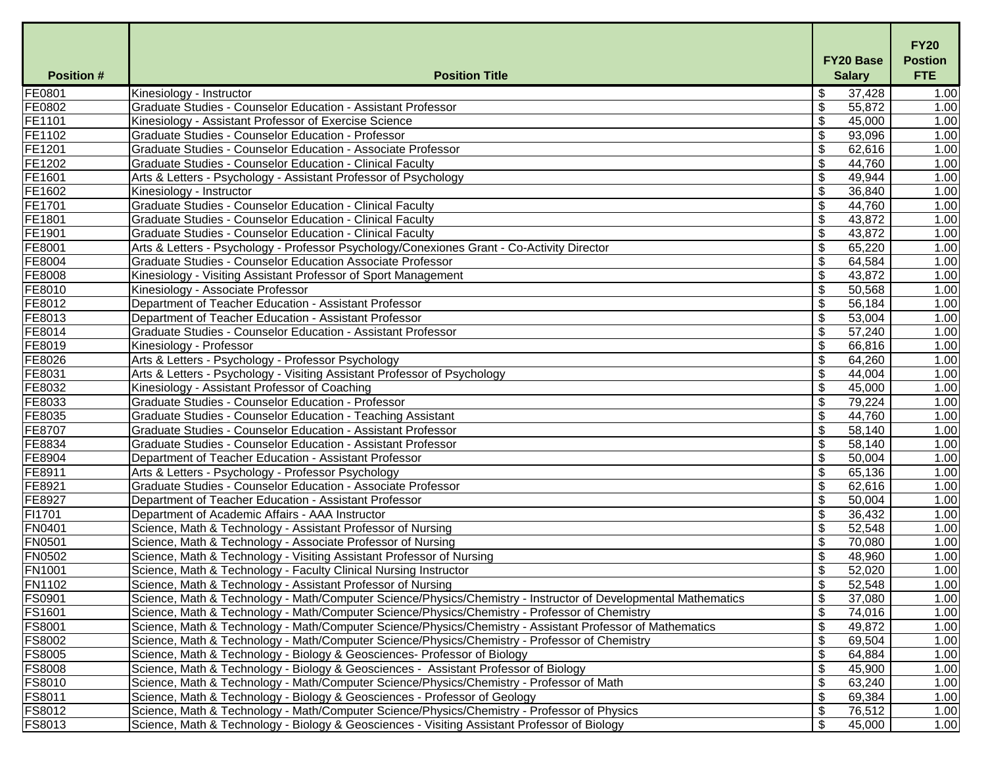| FE0801<br>\$<br>1.00<br>Kinesiology - Instructor<br>37,428<br>$\mathfrak{L}$<br>FE0802<br><b>Graduate Studies - Counselor Education - Assistant Professor</b><br>55,872<br>FE1101<br>$\boldsymbol{\mathsf{S}}$<br>Kinesiology - Assistant Professor of Exercise Science<br>45,000<br>FE1102<br>93,096<br>Graduate Studies - Counselor Education - Professor<br>\$<br>FE1201<br>Graduate Studies - Counselor Education - Associate Professor<br>\$<br>62,616<br>FE1202<br>\$<br>44,760<br>1.00<br><b>Graduate Studies - Counselor Education - Clinical Faculty</b><br>FE1601<br>\$<br>Arts & Letters - Psychology - Assistant Professor of Psychology<br>49,944<br>FE1602<br>$\boldsymbol{\mathsf{S}}$<br>36,840<br>Kinesiology - Instructor<br>FE1701<br><b>Graduate Studies - Counselor Education - Clinical Faculty</b><br>\$<br>44,760<br>FE1801<br><b>Graduate Studies - Counselor Education - Clinical Faculty</b><br>\$<br>43,872<br>1.00<br>FE1901<br>$\boldsymbol{\mathsf{S}}$<br><b>Graduate Studies - Counselor Education - Clinical Faculty</b><br>43,872<br>1.00<br>FE8001<br>\$<br>65,220<br>Arts & Letters - Psychology - Professor Psychology/Conexiones Grant - Co-Activity Director<br>FE8004<br>Graduate Studies - Counselor Education Associate Professor<br>\$<br>64,584<br>FE8008<br>$\boldsymbol{\mathsf{S}}$<br>43,872<br>Kinesiology - Visiting Assistant Professor of Sport Management<br>1.00<br>FE8010<br>50,568<br>Kinesiology - Associate Professor<br>\$<br>1.00<br>FE8012<br>Department of Teacher Education - Assistant Professor<br>$\boldsymbol{\mathsf{S}}$<br>56,184<br>1.00<br>FE8013<br>\$<br>53,004<br>1.00<br>Department of Teacher Education - Assistant Professor<br>FE8014<br>\$<br>1.00<br><b>Graduate Studies - Counselor Education - Assistant Professor</b><br>57,240<br>FE8019<br>$\boldsymbol{\mathsf{S}}$<br>66,816<br>Kinesiology - Professor<br>1.00<br>FE8026<br>Arts & Letters - Psychology - Professor Psychology<br>\$<br>64,260<br>1.00<br>FE8031<br>Arts & Letters - Psychology - Visiting Assistant Professor of Psychology<br>\$<br>44,004<br>1.00<br>$\boldsymbol{\mathsf{S}}$<br>FE8032<br>45,000<br>1.00<br>Kinesiology - Assistant Professor of Coaching<br>FE8033<br><b>Graduate Studies - Counselor Education - Professor</b><br>\$<br>79,224<br>1.00<br>FE8035<br>$\boldsymbol{\mathsf{S}}$<br>Graduate Studies - Counselor Education - Teaching Assistant<br>44,760<br>1.00<br>FE8707<br>58,140<br>1.00<br>Graduate Studies - Counselor Education - Assistant Professor<br>\$<br>FE8834<br><b>Graduate Studies - Counselor Education - Assistant Professor</b><br>58,140<br>1.00<br>\$<br>50,004<br>FE8904<br>1.00<br>Department of Teacher Education - Assistant Professor<br>FE8911<br>\$<br>1.00<br>Arts & Letters - Psychology - Professor Psychology<br>65,136<br>FE8921<br>1.00<br>Graduate Studies - Counselor Education - Associate Professor<br>\$<br>62,616<br>\$<br>50,004<br>FE8927<br>Department of Teacher Education - Assistant Professor<br>1.00<br>FI1701<br>Department of Academic Affairs - AAA Instructor<br>\$<br>36,432<br>1.00<br>FN0401<br>$\boldsymbol{\mathsf{S}}$<br>52,548<br>Science, Math & Technology - Assistant Professor of Nursing<br>1.00<br><b>FN0501</b><br>1.00<br>Science, Math & Technology - Associate Professor of Nursing<br>\$<br>70,080<br><b>FN0502</b><br>Science, Math & Technology - Visiting Assistant Professor of Nursing<br>48,960<br>1.00<br>\$<br><b>FN1001</b><br>\$<br>Science, Math & Technology - Faculty Clinical Nursing Instructor<br>52,020<br>1.00<br><b>FN1102</b><br>Science, Math & Technology - Assistant Professor of Nursing<br>\$<br>52,548<br>1.00<br>FS0901<br>Science, Math & Technology - Math/Computer Science/Physics/Chemistry - Instructor of Developmental Mathematics<br>\$<br>1.00<br>37,080<br><b>FS1601</b><br>\$<br>74,016<br>Science, Math & Technology - Math/Computer Science/Physics/Chemistry - Professor of Chemistry<br>1.00<br><b>FS8001</b><br>Science, Math & Technology - Math/Computer Science/Physics/Chemistry - Assistant Professor of Mathematics<br>\$<br>49,872<br>1.00<br>FS8002<br>$\boldsymbol{\mathsf{S}}$<br>Science, Math & Technology - Math/Computer Science/Physics/Chemistry - Professor of Chemistry<br>69,504<br>1.00<br><b>FS8005</b><br>\$<br>Science, Math & Technology - Biology & Geosciences- Professor of Biology<br>64,884<br>1.00<br><b>FS8008</b><br>Science, Math & Technology - Biology & Geosciences - Assistant Professor of Biology<br>\$<br>45,900<br>1.00<br>$\boldsymbol{\mathsf{S}}$<br><b>FS8010</b><br>63,240<br>Science, Math & Technology - Math/Computer Science/Physics/Chemistry - Professor of Math<br>1.00<br>FS8011<br>\$<br>69,384<br>1.00<br>Science, Math & Technology - Biology & Geosciences - Professor of Geology<br><b>FS8012</b><br>Science, Math & Technology - Math/Computer Science/Physics/Chemistry - Professor of Physics<br>\$<br>76,512<br>1.00 | <b>Position#</b> | <b>Position Title</b>                                                                        | <b>FY20 Base</b><br><b>Salary</b> | <b>FY20</b><br><b>Postion</b><br><b>FTE</b> |
|---------------------------------------------------------------------------------------------------------------------------------------------------------------------------------------------------------------------------------------------------------------------------------------------------------------------------------------------------------------------------------------------------------------------------------------------------------------------------------------------------------------------------------------------------------------------------------------------------------------------------------------------------------------------------------------------------------------------------------------------------------------------------------------------------------------------------------------------------------------------------------------------------------------------------------------------------------------------------------------------------------------------------------------------------------------------------------------------------------------------------------------------------------------------------------------------------------------------------------------------------------------------------------------------------------------------------------------------------------------------------------------------------------------------------------------------------------------------------------------------------------------------------------------------------------------------------------------------------------------------------------------------------------------------------------------------------------------------------------------------------------------------------------------------------------------------------------------------------------------------------------------------------------------------------------------------------------------------------------------------------------------------------------------------------------------------------------------------------------------------------------------------------------------------------------------------------------------------------------------------------------------------------------------------------------------------------------------------------------------------------------------------------------------------------------------------------------------------------------------------------------------------------------------------------------------------------------------------------------------------------------------------------------------------------------------------------------------------------------------------------------------------------------------------------------------------------------------------------------------------------------------------------------------------------------------------------------------------------------------------------------------------------------------------------------------------------------------------------------------------------------------------------------------------------------------------------------------------------------------------------------------------------------------------------------------------------------------------------------------------------------------------------------------------------------------------------------------------------------------------------------------------------------------------------------------------------------------------------------------------------------------------------------------------------------------------------------------------------------------------------------------------------------------------------------------------------------------------------------------------------------------------------------------------------------------------------------------------------------------------------------------------------------------------------------------------------------------------------------------------------------------------------------------------------------------------------------------------------------------------------------------------------------------------------------------------------------------------------------------------------------------------------------------------------------------------------------------------------------------------------------------------------------------------------------------------------------------------------------------------------------------------------------------------------------------------------------------------------------------------------------------------------------------------------------------------------------------------------------------------------------------------------------------------------------------------------------------------------------------|------------------|----------------------------------------------------------------------------------------------|-----------------------------------|---------------------------------------------|
|                                                                                                                                                                                                                                                                                                                                                                                                                                                                                                                                                                                                                                                                                                                                                                                                                                                                                                                                                                                                                                                                                                                                                                                                                                                                                                                                                                                                                                                                                                                                                                                                                                                                                                                                                                                                                                                                                                                                                                                                                                                                                                                                                                                                                                                                                                                                                                                                                                                                                                                                                                                                                                                                                                                                                                                                                                                                                                                                                                                                                                                                                                                                                                                                                                                                                                                                                                                                                                                                                                                                                                                                                                                                                                                                                                                                                                                                                                                                                                                                                                                                                                                                                                                                                                                                                                                                                                                                                                                                                                                                                                                                                                                                                                                                                                                                                                                                                                                                                                                       |                  |                                                                                              |                                   |                                             |
|                                                                                                                                                                                                                                                                                                                                                                                                                                                                                                                                                                                                                                                                                                                                                                                                                                                                                                                                                                                                                                                                                                                                                                                                                                                                                                                                                                                                                                                                                                                                                                                                                                                                                                                                                                                                                                                                                                                                                                                                                                                                                                                                                                                                                                                                                                                                                                                                                                                                                                                                                                                                                                                                                                                                                                                                                                                                                                                                                                                                                                                                                                                                                                                                                                                                                                                                                                                                                                                                                                                                                                                                                                                                                                                                                                                                                                                                                                                                                                                                                                                                                                                                                                                                                                                                                                                                                                                                                                                                                                                                                                                                                                                                                                                                                                                                                                                                                                                                                                                       |                  |                                                                                              |                                   | 1.00                                        |
|                                                                                                                                                                                                                                                                                                                                                                                                                                                                                                                                                                                                                                                                                                                                                                                                                                                                                                                                                                                                                                                                                                                                                                                                                                                                                                                                                                                                                                                                                                                                                                                                                                                                                                                                                                                                                                                                                                                                                                                                                                                                                                                                                                                                                                                                                                                                                                                                                                                                                                                                                                                                                                                                                                                                                                                                                                                                                                                                                                                                                                                                                                                                                                                                                                                                                                                                                                                                                                                                                                                                                                                                                                                                                                                                                                                                                                                                                                                                                                                                                                                                                                                                                                                                                                                                                                                                                                                                                                                                                                                                                                                                                                                                                                                                                                                                                                                                                                                                                                                       |                  |                                                                                              |                                   | 1.00                                        |
|                                                                                                                                                                                                                                                                                                                                                                                                                                                                                                                                                                                                                                                                                                                                                                                                                                                                                                                                                                                                                                                                                                                                                                                                                                                                                                                                                                                                                                                                                                                                                                                                                                                                                                                                                                                                                                                                                                                                                                                                                                                                                                                                                                                                                                                                                                                                                                                                                                                                                                                                                                                                                                                                                                                                                                                                                                                                                                                                                                                                                                                                                                                                                                                                                                                                                                                                                                                                                                                                                                                                                                                                                                                                                                                                                                                                                                                                                                                                                                                                                                                                                                                                                                                                                                                                                                                                                                                                                                                                                                                                                                                                                                                                                                                                                                                                                                                                                                                                                                                       |                  |                                                                                              |                                   | 1.00                                        |
|                                                                                                                                                                                                                                                                                                                                                                                                                                                                                                                                                                                                                                                                                                                                                                                                                                                                                                                                                                                                                                                                                                                                                                                                                                                                                                                                                                                                                                                                                                                                                                                                                                                                                                                                                                                                                                                                                                                                                                                                                                                                                                                                                                                                                                                                                                                                                                                                                                                                                                                                                                                                                                                                                                                                                                                                                                                                                                                                                                                                                                                                                                                                                                                                                                                                                                                                                                                                                                                                                                                                                                                                                                                                                                                                                                                                                                                                                                                                                                                                                                                                                                                                                                                                                                                                                                                                                                                                                                                                                                                                                                                                                                                                                                                                                                                                                                                                                                                                                                                       |                  |                                                                                              |                                   | 1.00                                        |
|                                                                                                                                                                                                                                                                                                                                                                                                                                                                                                                                                                                                                                                                                                                                                                                                                                                                                                                                                                                                                                                                                                                                                                                                                                                                                                                                                                                                                                                                                                                                                                                                                                                                                                                                                                                                                                                                                                                                                                                                                                                                                                                                                                                                                                                                                                                                                                                                                                                                                                                                                                                                                                                                                                                                                                                                                                                                                                                                                                                                                                                                                                                                                                                                                                                                                                                                                                                                                                                                                                                                                                                                                                                                                                                                                                                                                                                                                                                                                                                                                                                                                                                                                                                                                                                                                                                                                                                                                                                                                                                                                                                                                                                                                                                                                                                                                                                                                                                                                                                       |                  |                                                                                              |                                   |                                             |
|                                                                                                                                                                                                                                                                                                                                                                                                                                                                                                                                                                                                                                                                                                                                                                                                                                                                                                                                                                                                                                                                                                                                                                                                                                                                                                                                                                                                                                                                                                                                                                                                                                                                                                                                                                                                                                                                                                                                                                                                                                                                                                                                                                                                                                                                                                                                                                                                                                                                                                                                                                                                                                                                                                                                                                                                                                                                                                                                                                                                                                                                                                                                                                                                                                                                                                                                                                                                                                                                                                                                                                                                                                                                                                                                                                                                                                                                                                                                                                                                                                                                                                                                                                                                                                                                                                                                                                                                                                                                                                                                                                                                                                                                                                                                                                                                                                                                                                                                                                                       |                  |                                                                                              |                                   | 1.00                                        |
|                                                                                                                                                                                                                                                                                                                                                                                                                                                                                                                                                                                                                                                                                                                                                                                                                                                                                                                                                                                                                                                                                                                                                                                                                                                                                                                                                                                                                                                                                                                                                                                                                                                                                                                                                                                                                                                                                                                                                                                                                                                                                                                                                                                                                                                                                                                                                                                                                                                                                                                                                                                                                                                                                                                                                                                                                                                                                                                                                                                                                                                                                                                                                                                                                                                                                                                                                                                                                                                                                                                                                                                                                                                                                                                                                                                                                                                                                                                                                                                                                                                                                                                                                                                                                                                                                                                                                                                                                                                                                                                                                                                                                                                                                                                                                                                                                                                                                                                                                                                       |                  |                                                                                              |                                   | 1.00                                        |
|                                                                                                                                                                                                                                                                                                                                                                                                                                                                                                                                                                                                                                                                                                                                                                                                                                                                                                                                                                                                                                                                                                                                                                                                                                                                                                                                                                                                                                                                                                                                                                                                                                                                                                                                                                                                                                                                                                                                                                                                                                                                                                                                                                                                                                                                                                                                                                                                                                                                                                                                                                                                                                                                                                                                                                                                                                                                                                                                                                                                                                                                                                                                                                                                                                                                                                                                                                                                                                                                                                                                                                                                                                                                                                                                                                                                                                                                                                                                                                                                                                                                                                                                                                                                                                                                                                                                                                                                                                                                                                                                                                                                                                                                                                                                                                                                                                                                                                                                                                                       |                  |                                                                                              |                                   | 1.00                                        |
|                                                                                                                                                                                                                                                                                                                                                                                                                                                                                                                                                                                                                                                                                                                                                                                                                                                                                                                                                                                                                                                                                                                                                                                                                                                                                                                                                                                                                                                                                                                                                                                                                                                                                                                                                                                                                                                                                                                                                                                                                                                                                                                                                                                                                                                                                                                                                                                                                                                                                                                                                                                                                                                                                                                                                                                                                                                                                                                                                                                                                                                                                                                                                                                                                                                                                                                                                                                                                                                                                                                                                                                                                                                                                                                                                                                                                                                                                                                                                                                                                                                                                                                                                                                                                                                                                                                                                                                                                                                                                                                                                                                                                                                                                                                                                                                                                                                                                                                                                                                       |                  |                                                                                              |                                   |                                             |
|                                                                                                                                                                                                                                                                                                                                                                                                                                                                                                                                                                                                                                                                                                                                                                                                                                                                                                                                                                                                                                                                                                                                                                                                                                                                                                                                                                                                                                                                                                                                                                                                                                                                                                                                                                                                                                                                                                                                                                                                                                                                                                                                                                                                                                                                                                                                                                                                                                                                                                                                                                                                                                                                                                                                                                                                                                                                                                                                                                                                                                                                                                                                                                                                                                                                                                                                                                                                                                                                                                                                                                                                                                                                                                                                                                                                                                                                                                                                                                                                                                                                                                                                                                                                                                                                                                                                                                                                                                                                                                                                                                                                                                                                                                                                                                                                                                                                                                                                                                                       |                  |                                                                                              |                                   |                                             |
|                                                                                                                                                                                                                                                                                                                                                                                                                                                                                                                                                                                                                                                                                                                                                                                                                                                                                                                                                                                                                                                                                                                                                                                                                                                                                                                                                                                                                                                                                                                                                                                                                                                                                                                                                                                                                                                                                                                                                                                                                                                                                                                                                                                                                                                                                                                                                                                                                                                                                                                                                                                                                                                                                                                                                                                                                                                                                                                                                                                                                                                                                                                                                                                                                                                                                                                                                                                                                                                                                                                                                                                                                                                                                                                                                                                                                                                                                                                                                                                                                                                                                                                                                                                                                                                                                                                                                                                                                                                                                                                                                                                                                                                                                                                                                                                                                                                                                                                                                                                       |                  |                                                                                              |                                   | 1.00                                        |
|                                                                                                                                                                                                                                                                                                                                                                                                                                                                                                                                                                                                                                                                                                                                                                                                                                                                                                                                                                                                                                                                                                                                                                                                                                                                                                                                                                                                                                                                                                                                                                                                                                                                                                                                                                                                                                                                                                                                                                                                                                                                                                                                                                                                                                                                                                                                                                                                                                                                                                                                                                                                                                                                                                                                                                                                                                                                                                                                                                                                                                                                                                                                                                                                                                                                                                                                                                                                                                                                                                                                                                                                                                                                                                                                                                                                                                                                                                                                                                                                                                                                                                                                                                                                                                                                                                                                                                                                                                                                                                                                                                                                                                                                                                                                                                                                                                                                                                                                                                                       |                  |                                                                                              |                                   | 1.00                                        |
|                                                                                                                                                                                                                                                                                                                                                                                                                                                                                                                                                                                                                                                                                                                                                                                                                                                                                                                                                                                                                                                                                                                                                                                                                                                                                                                                                                                                                                                                                                                                                                                                                                                                                                                                                                                                                                                                                                                                                                                                                                                                                                                                                                                                                                                                                                                                                                                                                                                                                                                                                                                                                                                                                                                                                                                                                                                                                                                                                                                                                                                                                                                                                                                                                                                                                                                                                                                                                                                                                                                                                                                                                                                                                                                                                                                                                                                                                                                                                                                                                                                                                                                                                                                                                                                                                                                                                                                                                                                                                                                                                                                                                                                                                                                                                                                                                                                                                                                                                                                       |                  |                                                                                              |                                   |                                             |
|                                                                                                                                                                                                                                                                                                                                                                                                                                                                                                                                                                                                                                                                                                                                                                                                                                                                                                                                                                                                                                                                                                                                                                                                                                                                                                                                                                                                                                                                                                                                                                                                                                                                                                                                                                                                                                                                                                                                                                                                                                                                                                                                                                                                                                                                                                                                                                                                                                                                                                                                                                                                                                                                                                                                                                                                                                                                                                                                                                                                                                                                                                                                                                                                                                                                                                                                                                                                                                                                                                                                                                                                                                                                                                                                                                                                                                                                                                                                                                                                                                                                                                                                                                                                                                                                                                                                                                                                                                                                                                                                                                                                                                                                                                                                                                                                                                                                                                                                                                                       |                  |                                                                                              |                                   |                                             |
|                                                                                                                                                                                                                                                                                                                                                                                                                                                                                                                                                                                                                                                                                                                                                                                                                                                                                                                                                                                                                                                                                                                                                                                                                                                                                                                                                                                                                                                                                                                                                                                                                                                                                                                                                                                                                                                                                                                                                                                                                                                                                                                                                                                                                                                                                                                                                                                                                                                                                                                                                                                                                                                                                                                                                                                                                                                                                                                                                                                                                                                                                                                                                                                                                                                                                                                                                                                                                                                                                                                                                                                                                                                                                                                                                                                                                                                                                                                                                                                                                                                                                                                                                                                                                                                                                                                                                                                                                                                                                                                                                                                                                                                                                                                                                                                                                                                                                                                                                                                       |                  |                                                                                              |                                   |                                             |
|                                                                                                                                                                                                                                                                                                                                                                                                                                                                                                                                                                                                                                                                                                                                                                                                                                                                                                                                                                                                                                                                                                                                                                                                                                                                                                                                                                                                                                                                                                                                                                                                                                                                                                                                                                                                                                                                                                                                                                                                                                                                                                                                                                                                                                                                                                                                                                                                                                                                                                                                                                                                                                                                                                                                                                                                                                                                                                                                                                                                                                                                                                                                                                                                                                                                                                                                                                                                                                                                                                                                                                                                                                                                                                                                                                                                                                                                                                                                                                                                                                                                                                                                                                                                                                                                                                                                                                                                                                                                                                                                                                                                                                                                                                                                                                                                                                                                                                                                                                                       |                  |                                                                                              |                                   |                                             |
|                                                                                                                                                                                                                                                                                                                                                                                                                                                                                                                                                                                                                                                                                                                                                                                                                                                                                                                                                                                                                                                                                                                                                                                                                                                                                                                                                                                                                                                                                                                                                                                                                                                                                                                                                                                                                                                                                                                                                                                                                                                                                                                                                                                                                                                                                                                                                                                                                                                                                                                                                                                                                                                                                                                                                                                                                                                                                                                                                                                                                                                                                                                                                                                                                                                                                                                                                                                                                                                                                                                                                                                                                                                                                                                                                                                                                                                                                                                                                                                                                                                                                                                                                                                                                                                                                                                                                                                                                                                                                                                                                                                                                                                                                                                                                                                                                                                                                                                                                                                       |                  |                                                                                              |                                   |                                             |
|                                                                                                                                                                                                                                                                                                                                                                                                                                                                                                                                                                                                                                                                                                                                                                                                                                                                                                                                                                                                                                                                                                                                                                                                                                                                                                                                                                                                                                                                                                                                                                                                                                                                                                                                                                                                                                                                                                                                                                                                                                                                                                                                                                                                                                                                                                                                                                                                                                                                                                                                                                                                                                                                                                                                                                                                                                                                                                                                                                                                                                                                                                                                                                                                                                                                                                                                                                                                                                                                                                                                                                                                                                                                                                                                                                                                                                                                                                                                                                                                                                                                                                                                                                                                                                                                                                                                                                                                                                                                                                                                                                                                                                                                                                                                                                                                                                                                                                                                                                                       |                  |                                                                                              |                                   |                                             |
|                                                                                                                                                                                                                                                                                                                                                                                                                                                                                                                                                                                                                                                                                                                                                                                                                                                                                                                                                                                                                                                                                                                                                                                                                                                                                                                                                                                                                                                                                                                                                                                                                                                                                                                                                                                                                                                                                                                                                                                                                                                                                                                                                                                                                                                                                                                                                                                                                                                                                                                                                                                                                                                                                                                                                                                                                                                                                                                                                                                                                                                                                                                                                                                                                                                                                                                                                                                                                                                                                                                                                                                                                                                                                                                                                                                                                                                                                                                                                                                                                                                                                                                                                                                                                                                                                                                                                                                                                                                                                                                                                                                                                                                                                                                                                                                                                                                                                                                                                                                       |                  |                                                                                              |                                   |                                             |
|                                                                                                                                                                                                                                                                                                                                                                                                                                                                                                                                                                                                                                                                                                                                                                                                                                                                                                                                                                                                                                                                                                                                                                                                                                                                                                                                                                                                                                                                                                                                                                                                                                                                                                                                                                                                                                                                                                                                                                                                                                                                                                                                                                                                                                                                                                                                                                                                                                                                                                                                                                                                                                                                                                                                                                                                                                                                                                                                                                                                                                                                                                                                                                                                                                                                                                                                                                                                                                                                                                                                                                                                                                                                                                                                                                                                                                                                                                                                                                                                                                                                                                                                                                                                                                                                                                                                                                                                                                                                                                                                                                                                                                                                                                                                                                                                                                                                                                                                                                                       |                  |                                                                                              |                                   |                                             |
|                                                                                                                                                                                                                                                                                                                                                                                                                                                                                                                                                                                                                                                                                                                                                                                                                                                                                                                                                                                                                                                                                                                                                                                                                                                                                                                                                                                                                                                                                                                                                                                                                                                                                                                                                                                                                                                                                                                                                                                                                                                                                                                                                                                                                                                                                                                                                                                                                                                                                                                                                                                                                                                                                                                                                                                                                                                                                                                                                                                                                                                                                                                                                                                                                                                                                                                                                                                                                                                                                                                                                                                                                                                                                                                                                                                                                                                                                                                                                                                                                                                                                                                                                                                                                                                                                                                                                                                                                                                                                                                                                                                                                                                                                                                                                                                                                                                                                                                                                                                       |                  |                                                                                              |                                   |                                             |
|                                                                                                                                                                                                                                                                                                                                                                                                                                                                                                                                                                                                                                                                                                                                                                                                                                                                                                                                                                                                                                                                                                                                                                                                                                                                                                                                                                                                                                                                                                                                                                                                                                                                                                                                                                                                                                                                                                                                                                                                                                                                                                                                                                                                                                                                                                                                                                                                                                                                                                                                                                                                                                                                                                                                                                                                                                                                                                                                                                                                                                                                                                                                                                                                                                                                                                                                                                                                                                                                                                                                                                                                                                                                                                                                                                                                                                                                                                                                                                                                                                                                                                                                                                                                                                                                                                                                                                                                                                                                                                                                                                                                                                                                                                                                                                                                                                                                                                                                                                                       |                  |                                                                                              |                                   |                                             |
|                                                                                                                                                                                                                                                                                                                                                                                                                                                                                                                                                                                                                                                                                                                                                                                                                                                                                                                                                                                                                                                                                                                                                                                                                                                                                                                                                                                                                                                                                                                                                                                                                                                                                                                                                                                                                                                                                                                                                                                                                                                                                                                                                                                                                                                                                                                                                                                                                                                                                                                                                                                                                                                                                                                                                                                                                                                                                                                                                                                                                                                                                                                                                                                                                                                                                                                                                                                                                                                                                                                                                                                                                                                                                                                                                                                                                                                                                                                                                                                                                                                                                                                                                                                                                                                                                                                                                                                                                                                                                                                                                                                                                                                                                                                                                                                                                                                                                                                                                                                       |                  |                                                                                              |                                   |                                             |
|                                                                                                                                                                                                                                                                                                                                                                                                                                                                                                                                                                                                                                                                                                                                                                                                                                                                                                                                                                                                                                                                                                                                                                                                                                                                                                                                                                                                                                                                                                                                                                                                                                                                                                                                                                                                                                                                                                                                                                                                                                                                                                                                                                                                                                                                                                                                                                                                                                                                                                                                                                                                                                                                                                                                                                                                                                                                                                                                                                                                                                                                                                                                                                                                                                                                                                                                                                                                                                                                                                                                                                                                                                                                                                                                                                                                                                                                                                                                                                                                                                                                                                                                                                                                                                                                                                                                                                                                                                                                                                                                                                                                                                                                                                                                                                                                                                                                                                                                                                                       |                  |                                                                                              |                                   |                                             |
|                                                                                                                                                                                                                                                                                                                                                                                                                                                                                                                                                                                                                                                                                                                                                                                                                                                                                                                                                                                                                                                                                                                                                                                                                                                                                                                                                                                                                                                                                                                                                                                                                                                                                                                                                                                                                                                                                                                                                                                                                                                                                                                                                                                                                                                                                                                                                                                                                                                                                                                                                                                                                                                                                                                                                                                                                                                                                                                                                                                                                                                                                                                                                                                                                                                                                                                                                                                                                                                                                                                                                                                                                                                                                                                                                                                                                                                                                                                                                                                                                                                                                                                                                                                                                                                                                                                                                                                                                                                                                                                                                                                                                                                                                                                                                                                                                                                                                                                                                                                       |                  |                                                                                              |                                   |                                             |
|                                                                                                                                                                                                                                                                                                                                                                                                                                                                                                                                                                                                                                                                                                                                                                                                                                                                                                                                                                                                                                                                                                                                                                                                                                                                                                                                                                                                                                                                                                                                                                                                                                                                                                                                                                                                                                                                                                                                                                                                                                                                                                                                                                                                                                                                                                                                                                                                                                                                                                                                                                                                                                                                                                                                                                                                                                                                                                                                                                                                                                                                                                                                                                                                                                                                                                                                                                                                                                                                                                                                                                                                                                                                                                                                                                                                                                                                                                                                                                                                                                                                                                                                                                                                                                                                                                                                                                                                                                                                                                                                                                                                                                                                                                                                                                                                                                                                                                                                                                                       |                  |                                                                                              |                                   |                                             |
|                                                                                                                                                                                                                                                                                                                                                                                                                                                                                                                                                                                                                                                                                                                                                                                                                                                                                                                                                                                                                                                                                                                                                                                                                                                                                                                                                                                                                                                                                                                                                                                                                                                                                                                                                                                                                                                                                                                                                                                                                                                                                                                                                                                                                                                                                                                                                                                                                                                                                                                                                                                                                                                                                                                                                                                                                                                                                                                                                                                                                                                                                                                                                                                                                                                                                                                                                                                                                                                                                                                                                                                                                                                                                                                                                                                                                                                                                                                                                                                                                                                                                                                                                                                                                                                                                                                                                                                                                                                                                                                                                                                                                                                                                                                                                                                                                                                                                                                                                                                       |                  |                                                                                              |                                   |                                             |
|                                                                                                                                                                                                                                                                                                                                                                                                                                                                                                                                                                                                                                                                                                                                                                                                                                                                                                                                                                                                                                                                                                                                                                                                                                                                                                                                                                                                                                                                                                                                                                                                                                                                                                                                                                                                                                                                                                                                                                                                                                                                                                                                                                                                                                                                                                                                                                                                                                                                                                                                                                                                                                                                                                                                                                                                                                                                                                                                                                                                                                                                                                                                                                                                                                                                                                                                                                                                                                                                                                                                                                                                                                                                                                                                                                                                                                                                                                                                                                                                                                                                                                                                                                                                                                                                                                                                                                                                                                                                                                                                                                                                                                                                                                                                                                                                                                                                                                                                                                                       |                  |                                                                                              |                                   |                                             |
|                                                                                                                                                                                                                                                                                                                                                                                                                                                                                                                                                                                                                                                                                                                                                                                                                                                                                                                                                                                                                                                                                                                                                                                                                                                                                                                                                                                                                                                                                                                                                                                                                                                                                                                                                                                                                                                                                                                                                                                                                                                                                                                                                                                                                                                                                                                                                                                                                                                                                                                                                                                                                                                                                                                                                                                                                                                                                                                                                                                                                                                                                                                                                                                                                                                                                                                                                                                                                                                                                                                                                                                                                                                                                                                                                                                                                                                                                                                                                                                                                                                                                                                                                                                                                                                                                                                                                                                                                                                                                                                                                                                                                                                                                                                                                                                                                                                                                                                                                                                       |                  |                                                                                              |                                   |                                             |
|                                                                                                                                                                                                                                                                                                                                                                                                                                                                                                                                                                                                                                                                                                                                                                                                                                                                                                                                                                                                                                                                                                                                                                                                                                                                                                                                                                                                                                                                                                                                                                                                                                                                                                                                                                                                                                                                                                                                                                                                                                                                                                                                                                                                                                                                                                                                                                                                                                                                                                                                                                                                                                                                                                                                                                                                                                                                                                                                                                                                                                                                                                                                                                                                                                                                                                                                                                                                                                                                                                                                                                                                                                                                                                                                                                                                                                                                                                                                                                                                                                                                                                                                                                                                                                                                                                                                                                                                                                                                                                                                                                                                                                                                                                                                                                                                                                                                                                                                                                                       |                  |                                                                                              |                                   |                                             |
|                                                                                                                                                                                                                                                                                                                                                                                                                                                                                                                                                                                                                                                                                                                                                                                                                                                                                                                                                                                                                                                                                                                                                                                                                                                                                                                                                                                                                                                                                                                                                                                                                                                                                                                                                                                                                                                                                                                                                                                                                                                                                                                                                                                                                                                                                                                                                                                                                                                                                                                                                                                                                                                                                                                                                                                                                                                                                                                                                                                                                                                                                                                                                                                                                                                                                                                                                                                                                                                                                                                                                                                                                                                                                                                                                                                                                                                                                                                                                                                                                                                                                                                                                                                                                                                                                                                                                                                                                                                                                                                                                                                                                                                                                                                                                                                                                                                                                                                                                                                       |                  |                                                                                              |                                   |                                             |
|                                                                                                                                                                                                                                                                                                                                                                                                                                                                                                                                                                                                                                                                                                                                                                                                                                                                                                                                                                                                                                                                                                                                                                                                                                                                                                                                                                                                                                                                                                                                                                                                                                                                                                                                                                                                                                                                                                                                                                                                                                                                                                                                                                                                                                                                                                                                                                                                                                                                                                                                                                                                                                                                                                                                                                                                                                                                                                                                                                                                                                                                                                                                                                                                                                                                                                                                                                                                                                                                                                                                                                                                                                                                                                                                                                                                                                                                                                                                                                                                                                                                                                                                                                                                                                                                                                                                                                                                                                                                                                                                                                                                                                                                                                                                                                                                                                                                                                                                                                                       |                  |                                                                                              |                                   |                                             |
|                                                                                                                                                                                                                                                                                                                                                                                                                                                                                                                                                                                                                                                                                                                                                                                                                                                                                                                                                                                                                                                                                                                                                                                                                                                                                                                                                                                                                                                                                                                                                                                                                                                                                                                                                                                                                                                                                                                                                                                                                                                                                                                                                                                                                                                                                                                                                                                                                                                                                                                                                                                                                                                                                                                                                                                                                                                                                                                                                                                                                                                                                                                                                                                                                                                                                                                                                                                                                                                                                                                                                                                                                                                                                                                                                                                                                                                                                                                                                                                                                                                                                                                                                                                                                                                                                                                                                                                                                                                                                                                                                                                                                                                                                                                                                                                                                                                                                                                                                                                       |                  |                                                                                              |                                   |                                             |
|                                                                                                                                                                                                                                                                                                                                                                                                                                                                                                                                                                                                                                                                                                                                                                                                                                                                                                                                                                                                                                                                                                                                                                                                                                                                                                                                                                                                                                                                                                                                                                                                                                                                                                                                                                                                                                                                                                                                                                                                                                                                                                                                                                                                                                                                                                                                                                                                                                                                                                                                                                                                                                                                                                                                                                                                                                                                                                                                                                                                                                                                                                                                                                                                                                                                                                                                                                                                                                                                                                                                                                                                                                                                                                                                                                                                                                                                                                                                                                                                                                                                                                                                                                                                                                                                                                                                                                                                                                                                                                                                                                                                                                                                                                                                                                                                                                                                                                                                                                                       |                  |                                                                                              |                                   |                                             |
|                                                                                                                                                                                                                                                                                                                                                                                                                                                                                                                                                                                                                                                                                                                                                                                                                                                                                                                                                                                                                                                                                                                                                                                                                                                                                                                                                                                                                                                                                                                                                                                                                                                                                                                                                                                                                                                                                                                                                                                                                                                                                                                                                                                                                                                                                                                                                                                                                                                                                                                                                                                                                                                                                                                                                                                                                                                                                                                                                                                                                                                                                                                                                                                                                                                                                                                                                                                                                                                                                                                                                                                                                                                                                                                                                                                                                                                                                                                                                                                                                                                                                                                                                                                                                                                                                                                                                                                                                                                                                                                                                                                                                                                                                                                                                                                                                                                                                                                                                                                       |                  |                                                                                              |                                   |                                             |
|                                                                                                                                                                                                                                                                                                                                                                                                                                                                                                                                                                                                                                                                                                                                                                                                                                                                                                                                                                                                                                                                                                                                                                                                                                                                                                                                                                                                                                                                                                                                                                                                                                                                                                                                                                                                                                                                                                                                                                                                                                                                                                                                                                                                                                                                                                                                                                                                                                                                                                                                                                                                                                                                                                                                                                                                                                                                                                                                                                                                                                                                                                                                                                                                                                                                                                                                                                                                                                                                                                                                                                                                                                                                                                                                                                                                                                                                                                                                                                                                                                                                                                                                                                                                                                                                                                                                                                                                                                                                                                                                                                                                                                                                                                                                                                                                                                                                                                                                                                                       |                  |                                                                                              |                                   |                                             |
|                                                                                                                                                                                                                                                                                                                                                                                                                                                                                                                                                                                                                                                                                                                                                                                                                                                                                                                                                                                                                                                                                                                                                                                                                                                                                                                                                                                                                                                                                                                                                                                                                                                                                                                                                                                                                                                                                                                                                                                                                                                                                                                                                                                                                                                                                                                                                                                                                                                                                                                                                                                                                                                                                                                                                                                                                                                                                                                                                                                                                                                                                                                                                                                                                                                                                                                                                                                                                                                                                                                                                                                                                                                                                                                                                                                                                                                                                                                                                                                                                                                                                                                                                                                                                                                                                                                                                                                                                                                                                                                                                                                                                                                                                                                                                                                                                                                                                                                                                                                       |                  |                                                                                              |                                   |                                             |
|                                                                                                                                                                                                                                                                                                                                                                                                                                                                                                                                                                                                                                                                                                                                                                                                                                                                                                                                                                                                                                                                                                                                                                                                                                                                                                                                                                                                                                                                                                                                                                                                                                                                                                                                                                                                                                                                                                                                                                                                                                                                                                                                                                                                                                                                                                                                                                                                                                                                                                                                                                                                                                                                                                                                                                                                                                                                                                                                                                                                                                                                                                                                                                                                                                                                                                                                                                                                                                                                                                                                                                                                                                                                                                                                                                                                                                                                                                                                                                                                                                                                                                                                                                                                                                                                                                                                                                                                                                                                                                                                                                                                                                                                                                                                                                                                                                                                                                                                                                                       |                  |                                                                                              |                                   |                                             |
|                                                                                                                                                                                                                                                                                                                                                                                                                                                                                                                                                                                                                                                                                                                                                                                                                                                                                                                                                                                                                                                                                                                                                                                                                                                                                                                                                                                                                                                                                                                                                                                                                                                                                                                                                                                                                                                                                                                                                                                                                                                                                                                                                                                                                                                                                                                                                                                                                                                                                                                                                                                                                                                                                                                                                                                                                                                                                                                                                                                                                                                                                                                                                                                                                                                                                                                                                                                                                                                                                                                                                                                                                                                                                                                                                                                                                                                                                                                                                                                                                                                                                                                                                                                                                                                                                                                                                                                                                                                                                                                                                                                                                                                                                                                                                                                                                                                                                                                                                                                       |                  |                                                                                              |                                   |                                             |
|                                                                                                                                                                                                                                                                                                                                                                                                                                                                                                                                                                                                                                                                                                                                                                                                                                                                                                                                                                                                                                                                                                                                                                                                                                                                                                                                                                                                                                                                                                                                                                                                                                                                                                                                                                                                                                                                                                                                                                                                                                                                                                                                                                                                                                                                                                                                                                                                                                                                                                                                                                                                                                                                                                                                                                                                                                                                                                                                                                                                                                                                                                                                                                                                                                                                                                                                                                                                                                                                                                                                                                                                                                                                                                                                                                                                                                                                                                                                                                                                                                                                                                                                                                                                                                                                                                                                                                                                                                                                                                                                                                                                                                                                                                                                                                                                                                                                                                                                                                                       |                  |                                                                                              |                                   |                                             |
|                                                                                                                                                                                                                                                                                                                                                                                                                                                                                                                                                                                                                                                                                                                                                                                                                                                                                                                                                                                                                                                                                                                                                                                                                                                                                                                                                                                                                                                                                                                                                                                                                                                                                                                                                                                                                                                                                                                                                                                                                                                                                                                                                                                                                                                                                                                                                                                                                                                                                                                                                                                                                                                                                                                                                                                                                                                                                                                                                                                                                                                                                                                                                                                                                                                                                                                                                                                                                                                                                                                                                                                                                                                                                                                                                                                                                                                                                                                                                                                                                                                                                                                                                                                                                                                                                                                                                                                                                                                                                                                                                                                                                                                                                                                                                                                                                                                                                                                                                                                       |                  |                                                                                              |                                   |                                             |
|                                                                                                                                                                                                                                                                                                                                                                                                                                                                                                                                                                                                                                                                                                                                                                                                                                                                                                                                                                                                                                                                                                                                                                                                                                                                                                                                                                                                                                                                                                                                                                                                                                                                                                                                                                                                                                                                                                                                                                                                                                                                                                                                                                                                                                                                                                                                                                                                                                                                                                                                                                                                                                                                                                                                                                                                                                                                                                                                                                                                                                                                                                                                                                                                                                                                                                                                                                                                                                                                                                                                                                                                                                                                                                                                                                                                                                                                                                                                                                                                                                                                                                                                                                                                                                                                                                                                                                                                                                                                                                                                                                                                                                                                                                                                                                                                                                                                                                                                                                                       |                  |                                                                                              |                                   |                                             |
|                                                                                                                                                                                                                                                                                                                                                                                                                                                                                                                                                                                                                                                                                                                                                                                                                                                                                                                                                                                                                                                                                                                                                                                                                                                                                                                                                                                                                                                                                                                                                                                                                                                                                                                                                                                                                                                                                                                                                                                                                                                                                                                                                                                                                                                                                                                                                                                                                                                                                                                                                                                                                                                                                                                                                                                                                                                                                                                                                                                                                                                                                                                                                                                                                                                                                                                                                                                                                                                                                                                                                                                                                                                                                                                                                                                                                                                                                                                                                                                                                                                                                                                                                                                                                                                                                                                                                                                                                                                                                                                                                                                                                                                                                                                                                                                                                                                                                                                                                                                       |                  |                                                                                              |                                   |                                             |
|                                                                                                                                                                                                                                                                                                                                                                                                                                                                                                                                                                                                                                                                                                                                                                                                                                                                                                                                                                                                                                                                                                                                                                                                                                                                                                                                                                                                                                                                                                                                                                                                                                                                                                                                                                                                                                                                                                                                                                                                                                                                                                                                                                                                                                                                                                                                                                                                                                                                                                                                                                                                                                                                                                                                                                                                                                                                                                                                                                                                                                                                                                                                                                                                                                                                                                                                                                                                                                                                                                                                                                                                                                                                                                                                                                                                                                                                                                                                                                                                                                                                                                                                                                                                                                                                                                                                                                                                                                                                                                                                                                                                                                                                                                                                                                                                                                                                                                                                                                                       |                  |                                                                                              |                                   |                                             |
|                                                                                                                                                                                                                                                                                                                                                                                                                                                                                                                                                                                                                                                                                                                                                                                                                                                                                                                                                                                                                                                                                                                                                                                                                                                                                                                                                                                                                                                                                                                                                                                                                                                                                                                                                                                                                                                                                                                                                                                                                                                                                                                                                                                                                                                                                                                                                                                                                                                                                                                                                                                                                                                                                                                                                                                                                                                                                                                                                                                                                                                                                                                                                                                                                                                                                                                                                                                                                                                                                                                                                                                                                                                                                                                                                                                                                                                                                                                                                                                                                                                                                                                                                                                                                                                                                                                                                                                                                                                                                                                                                                                                                                                                                                                                                                                                                                                                                                                                                                                       | <b>FS8013</b>    | Science, Math & Technology - Biology & Geosciences - Visiting Assistant Professor of Biology | \$<br>45,000                      | 1.00                                        |